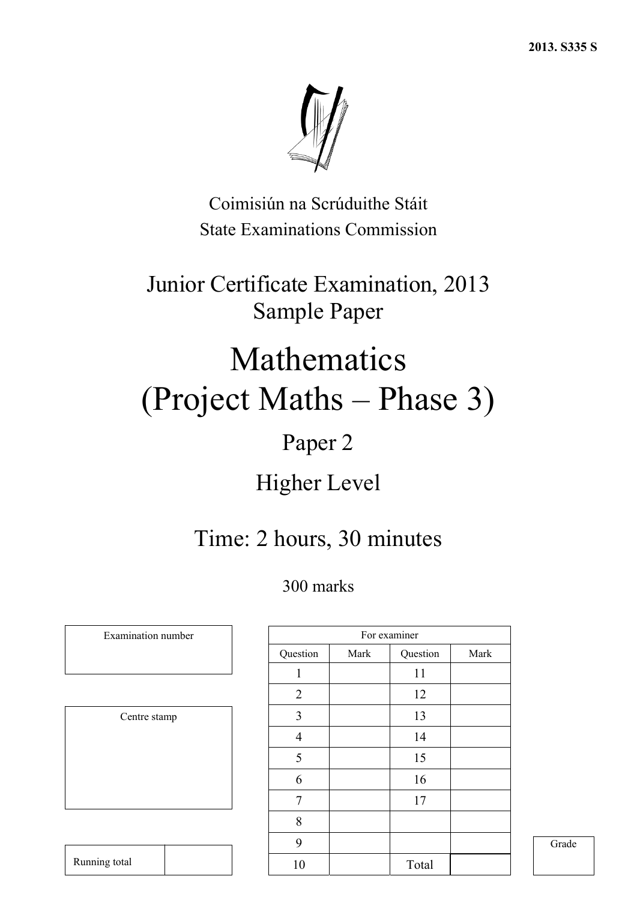

Coimisiún na Scrúduithe Stáit State Examinations Commission

Junior Certificate Examination, 2013 Sample Paper

# Mathematics (Project Maths – Phase 3)

## Paper 2

## Higher Level

## Time: 2 hours, 30 minutes

## 300 marks

|  | Centre stamp |  |
|--|--------------|--|
|  |              |  |
|  |              |  |
|  |              |  |
|  |              |  |

Running total

|                |      | For examiner |      |
|----------------|------|--------------|------|
| Question       | Mark | Question     | Mark |
| 1              |      | 11           |      |
| $\overline{2}$ |      | 12           |      |
| 3              |      | 13           |      |
| $\overline{4}$ |      | 14           |      |
| 5              |      | 15           |      |
| 6              |      | 16           |      |
| 7              |      | 17           |      |
| 8              |      |              |      |
| 9              |      |              |      |
| 10             |      | Total        |      |

Examination number

Grade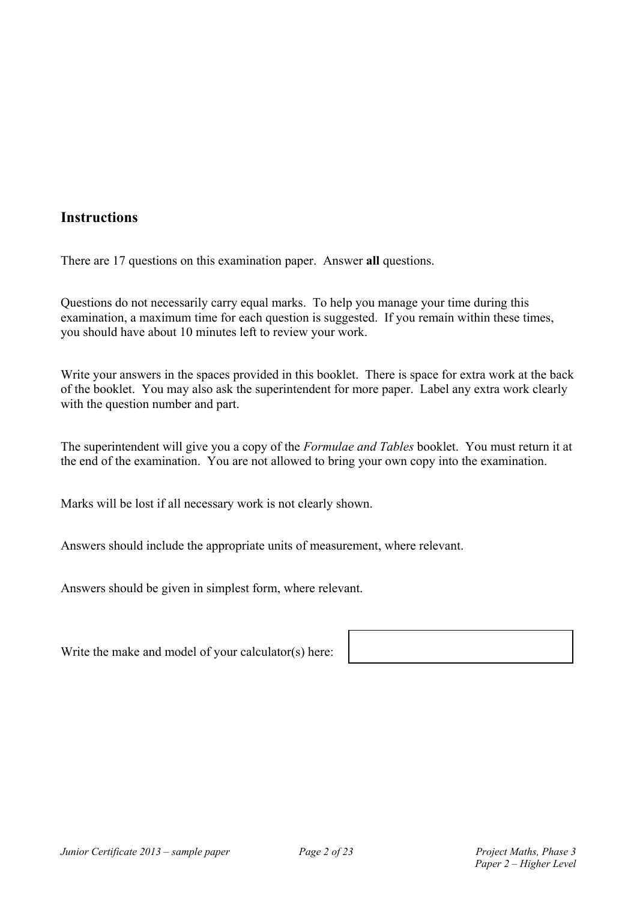### **Instructions**

There are 17 questions on this examination paper. Answer **all** questions.

Questions do not necessarily carry equal marks. To help you manage your time during this examination, a maximum time for each question is suggested. If you remain within these times, you should have about 10 minutes left to review your work.

Write your answers in the spaces provided in this booklet. There is space for extra work at the back of the booklet. You may also ask the superintendent for more paper. Label any extra work clearly with the question number and part.

The superintendent will give you a copy of the *Formulae and Tables* booklet. You must return it at the end of the examination. You are not allowed to bring your own copy into the examination.

Marks will be lost if all necessary work is not clearly shown.

Answers should include the appropriate units of measurement, where relevant.

Answers should be given in simplest form, where relevant.

Write the make and model of your calculator(s) here: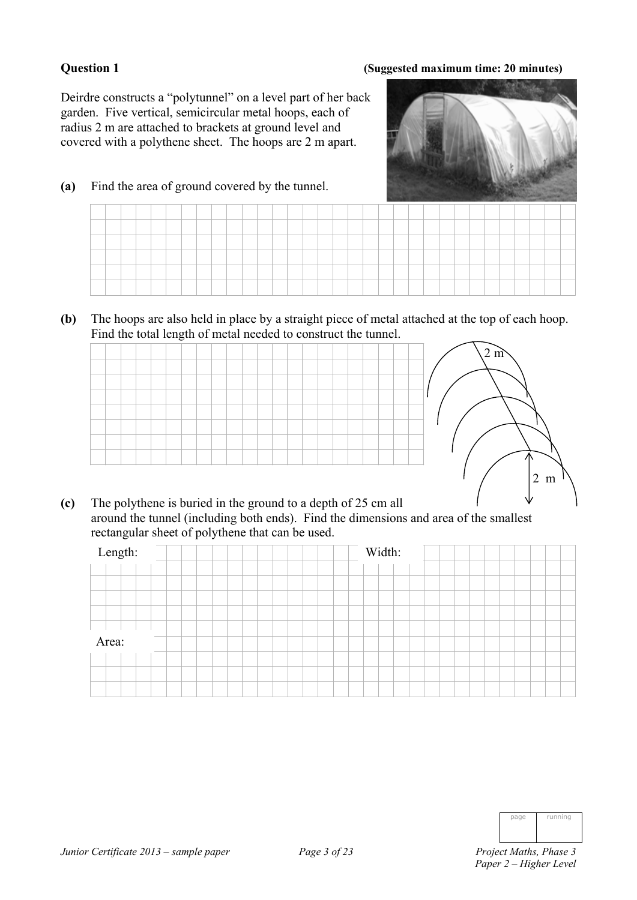### **Question 1 (Suggested maximum time: 20 minutes)**

Deirdre constructs a "polytunnel" on a level part of her back garden. Five vertical, semicircular metal hoops, each of radius 2 m are attached to brackets at ground level and covered with a polythene sheet. The hoops are 2 m apart.

**(a)** Find the area of ground covered by the tunnel.



**(b)** The hoops are also held in place by a straight piece of metal attached at the top of each hoop. Find the total length of metal needed to construct the tunnel.

|  |  |  |  |  |  |  |  |  |  |  | $2 \text{ m}$ |
|--|--|--|--|--|--|--|--|--|--|--|---------------|
|  |  |  |  |  |  |  |  |  |  |  |               |

**(c)** The polythene is buried in the ground to a depth of 25 cm all around the tunnel (including both ends). Find the dimensions and area of the smallest rectangular sheet of polythene that can be used.

| Length: | Width: |
|---------|--------|
|         |        |
|         |        |
|         |        |
|         |        |
|         |        |
| Area:   |        |
|         |        |
|         |        |
|         |        |

| page | running |
|------|---------|
|      |         |
|      |         |

2 m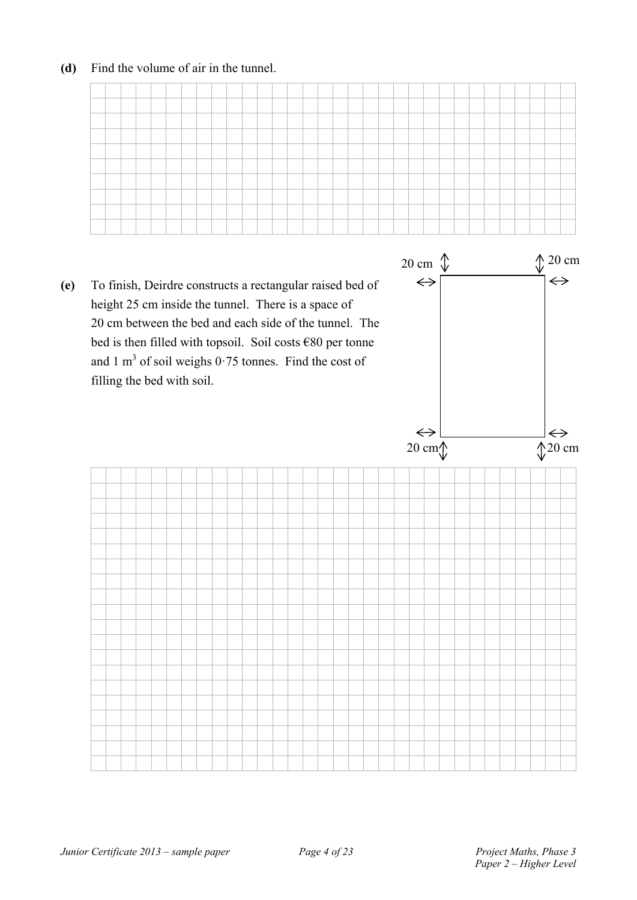### **(d)** Find the volume of air in the tunnel.



**(e)** To finish, Deirdre constructs a rectangular raised bed of height 25 cm inside the tunnel. There is a space of 20 cm between the bed and each side of the tunnel. The bed is then filled with topsoil. Soil costs €80 per tonne and 1  $m<sup>3</sup>$  of soil weighs 0.75 tonnes. Find the cost of filling the bed with soil.



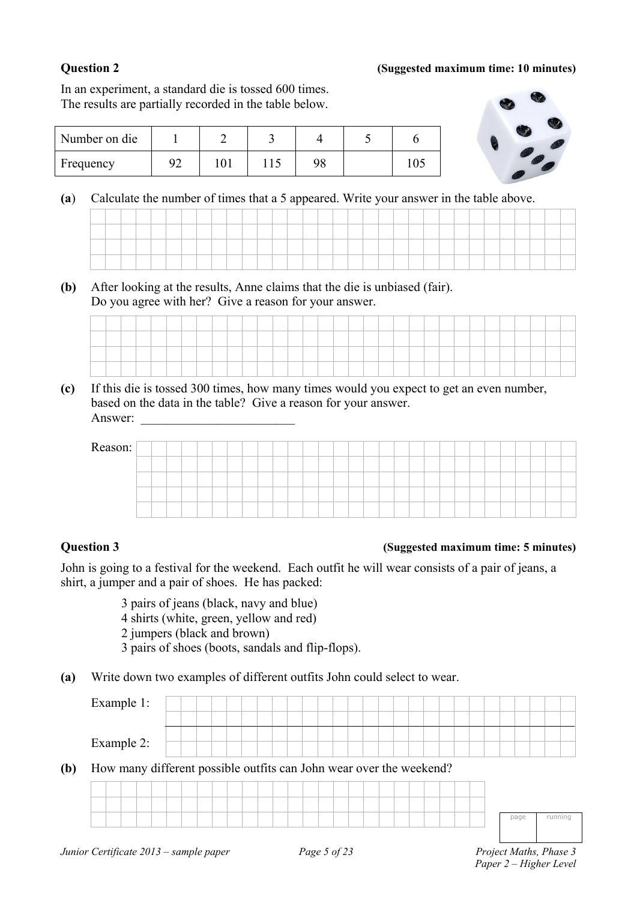### **Question 2 (Suggested maximum time: 10 minutes)**

In an experiment, a standard die is tossed 600 times. The results are partially recorded in the table below.



**(a**) Calculate the number of times that a 5 appeared. Write your answer in the table above.

**(b)** After looking at the results, Anne claims that the die is unbiased (fair). Do you agree with her? Give a reason for your answer.

Number on die 1 1 2 3 4 5 6

Frequency 92 101 115 98 105

**(c)** If this die is tossed 300 times, how many times would you expect to get an even number, based on the data in the table? Give a reason for your answer. Answer:

| Reason: |  |  |  |  |  |  |  |  |  |  |  |  |  |  |  |
|---------|--|--|--|--|--|--|--|--|--|--|--|--|--|--|--|
|         |  |  |  |  |  |  |  |  |  |  |  |  |  |  |  |
|         |  |  |  |  |  |  |  |  |  |  |  |  |  |  |  |
|         |  |  |  |  |  |  |  |  |  |  |  |  |  |  |  |
|         |  |  |  |  |  |  |  |  |  |  |  |  |  |  |  |

### **Question 3 (Suggested maximum time: 5 minutes)**

John is going to a festival for the weekend. Each outfit he will wear consists of a pair of jeans, a shirt, a jumper and a pair of shoes. He has packed:

> 3 pairs of jeans (black, navy and blue) 4 shirts (white, green, yellow and red) 2 jumpers (black and brown) 3 pairs of shoes (boots, sandals and flip-flops).

**(a)** Write down two examples of different outfits John could select to wear.

| Example 1:                                                          |  |  |  |  |  |  |  |  |  |  |  |
|---------------------------------------------------------------------|--|--|--|--|--|--|--|--|--|--|--|
| Example 2:                                                          |  |  |  |  |  |  |  |  |  |  |  |
| How many different possible outfits can John wear over the weekend? |  |  |  |  |  |  |  |  |  |  |  |

page running

*Paper 2 – Higher Level*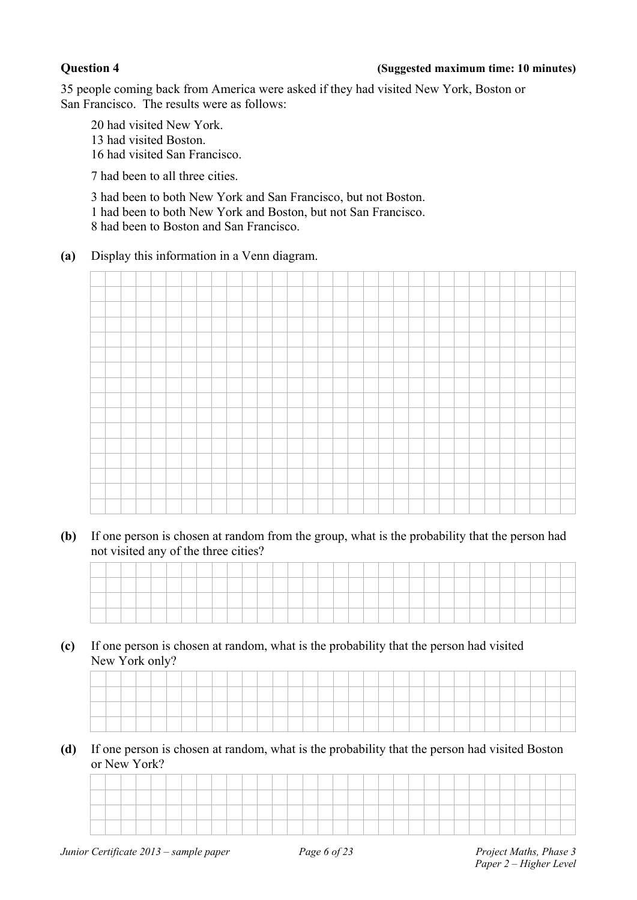### **Question 4 (Suggested maximum time: 10 minutes)**

35 people coming back from America were asked if they had visited New York, Boston or San Francisco. The results were as follows:

20 had visited New York. 13 had visited Boston. 16 had visited San Francisco.

7 had been to all three cities.

 3 had been to both New York and San Francisco, but not Boston. 1 had been to both New York and Boston, but not San Francisco. 8 had been to Boston and San Francisco.

**(a)** Display this information in a Venn diagram.



**(b)** If one person is chosen at random from the group, what is the probability that the person had not visited any of the three cities?

**(c)** If one person is chosen at random, what is the probability that the person had visited New York only?

|  |  |  |  |  |  |  | ___ |  |  |  |  |  |  |  |  |  |
|--|--|--|--|--|--|--|-----|--|--|--|--|--|--|--|--|--|
|  |  |  |  |  |  |  |     |  |  |  |  |  |  |  |  |  |
|  |  |  |  |  |  |  |     |  |  |  |  |  |  |  |  |  |
|  |  |  |  |  |  |  |     |  |  |  |  |  |  |  |  |  |
|  |  |  |  |  |  |  |     |  |  |  |  |  |  |  |  |  |
|  |  |  |  |  |  |  |     |  |  |  |  |  |  |  |  |  |
|  |  |  |  |  |  |  |     |  |  |  |  |  |  |  |  |  |
|  |  |  |  |  |  |  |     |  |  |  |  |  |  |  |  |  |
|  |  |  |  |  |  |  |     |  |  |  |  |  |  |  |  |  |

**(d)** If one person is chosen at random, what is the probability that the person had visited Boston or New York?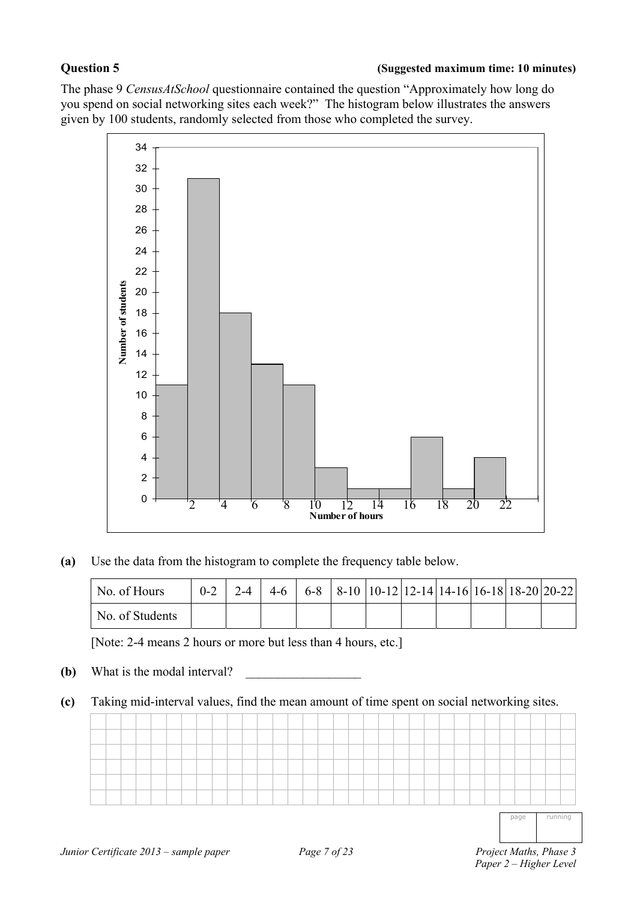The phase 9 *CensusAtSchool* questionnaire contained the question "Approximately how long do you spend on social networking sites each week?" The histogram below illustrates the answers given by 100 students, randomly selected from those who completed the survey.



**(a)** Use the data from the histogram to complete the frequency table below.

| No. of Hours    |  |  |  |  | $0-2$   2-4   4-6   6-8   8-10   10-12   12-14   14-16   16-18   18-20   20-22 |  |
|-----------------|--|--|--|--|--------------------------------------------------------------------------------|--|
| No. of Students |  |  |  |  |                                                                                |  |

[Note: 2-4 means 2 hours or more but less than 4 hours, etc.]

- **(b)** What is the modal interval?
- **(c)** Taking mid-interval values, find the mean amount of time spent on social networking sites.

page running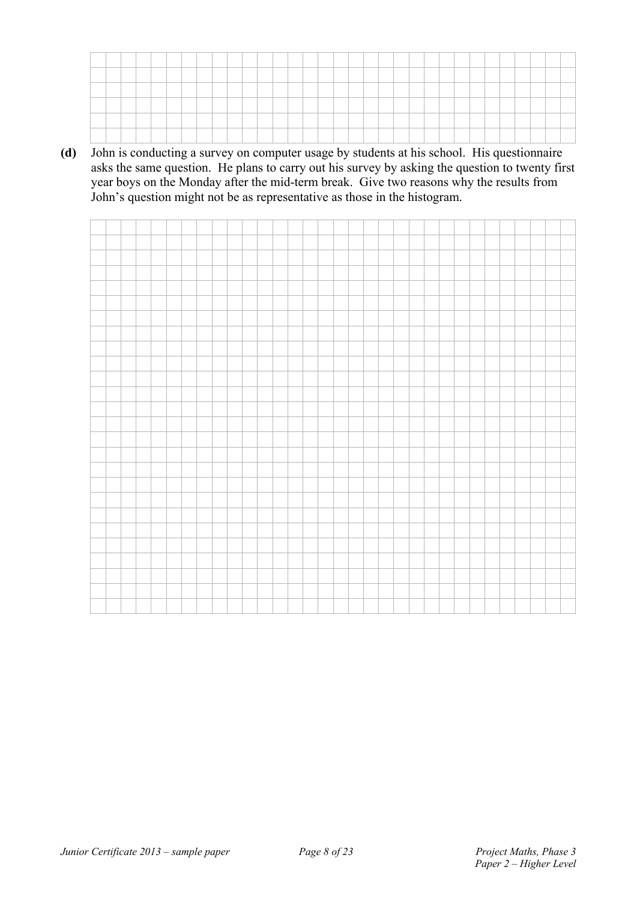**(d)** John is conducting a survey on computer usage by students at his school. His questionnaire asks the same question. He plans to carry out his survey by asking the question to twenty first year boys on the Monday after the mid-term break. Give two reasons why the results from John's question might not be as representative as those in the histogram.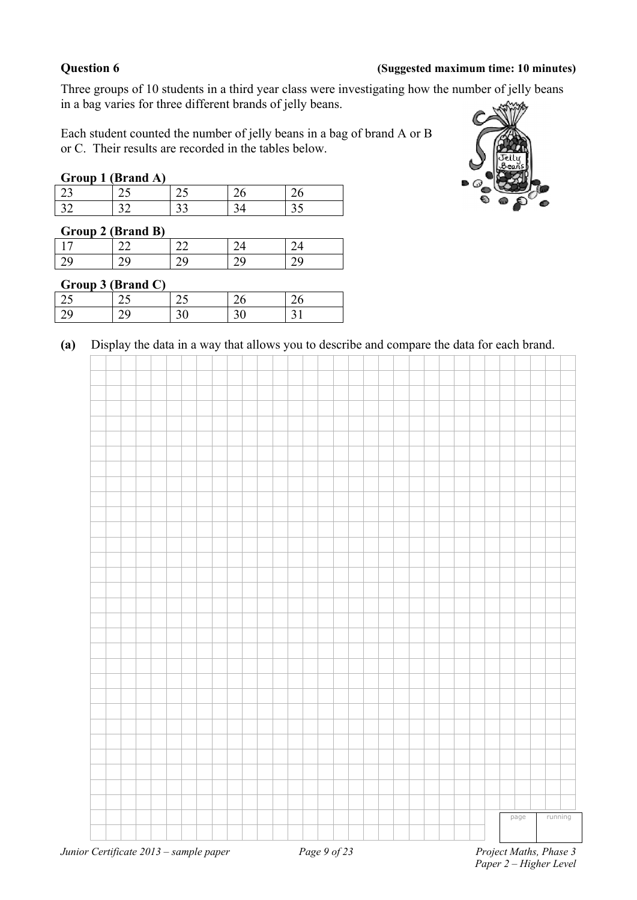### **Question 6 (Suggested maximum time: 10 minutes)**

Three groups of 10 students in a third year class were investigating how the number of jelly beans in a bag varies for three different brands of jelly beans.

Each student counted the number of jelly beans in a bag of brand A or B or C. Their results are recorded in the tables below.

### **Group 1 (Brand A)**

| ⊸ |        |  |  |
|---|--------|--|--|
|   | $\sim$ |  |  |
|   |        |  |  |

| Group 2 (Brand B) |  |  |
|-------------------|--|--|
|                   |  |  |
| bΩ                |  |  |

### **Group 3 (Brand C)**

| $\cap$ |  |   |
|--------|--|---|
| $\cap$ |  | ⌒ |
|        |  |   |



**(a)** Display the data in a way that allows you to describe and compare the data for each brand.

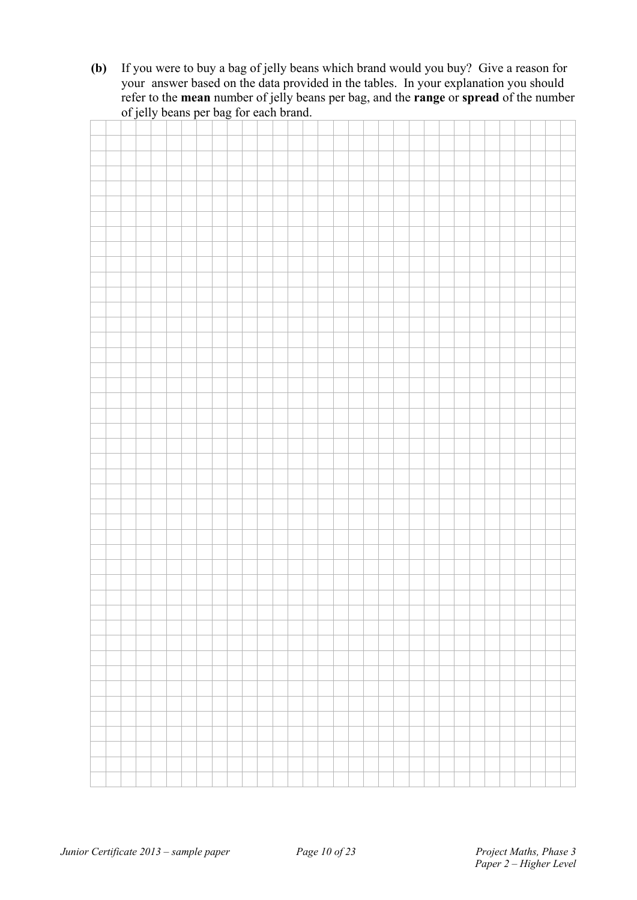**(b)** If you were to buy a bag of jelly beans which brand would you buy? Give a reason for your answer based on the data provided in the tables. In your explanation you should refer to the **mean** number of jelly beans per bag, and the **range** or **spread** of the number of jelly beans per bag for each brand.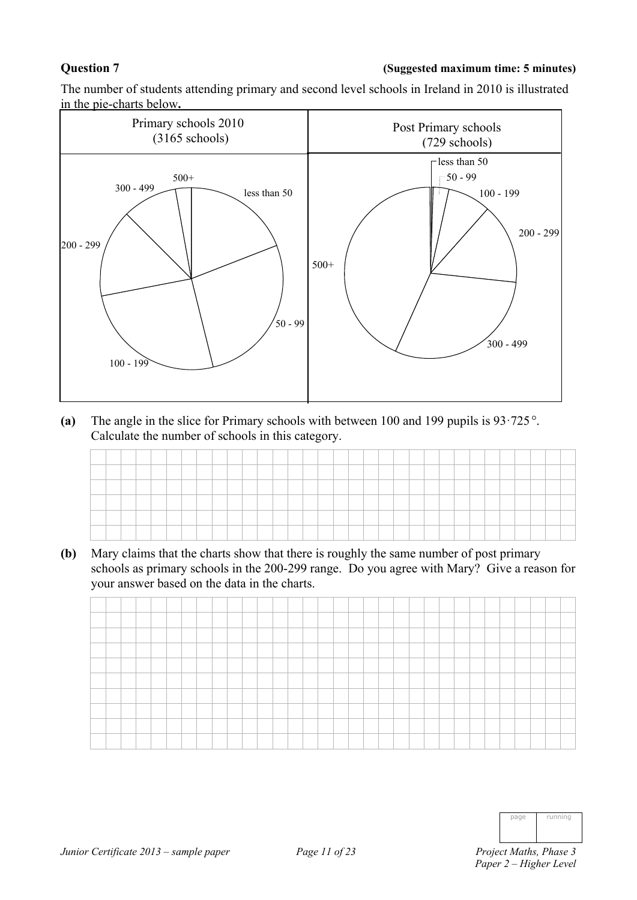### **Question 7 (Suggested maximum time: 5 minutes)**

The number of students attending primary and second level schools in Ireland in 2010 is illustrated in the pie-charts below**.** 



**(a)** The angle in the slice for Primary schools with between 100 and 199 pupils is 93·725. Calculate the number of schools in this category.

| _______ |  |  |  |  |  |  | ______ |  |  | _____ |  |  |  |  |  |  |
|---------|--|--|--|--|--|--|--------|--|--|-------|--|--|--|--|--|--|
|         |  |  |  |  |  |  |        |  |  |       |  |  |  |  |  |  |
|         |  |  |  |  |  |  |        |  |  |       |  |  |  |  |  |  |
|         |  |  |  |  |  |  |        |  |  |       |  |  |  |  |  |  |

**(b)** Mary claims that the charts show that there is roughly the same number of post primary schools as primary schools in the 200-299 range. Do you agree with Mary? Give a reason for your answer based on the data in the charts.



| page | running |
|------|---------|
|      |         |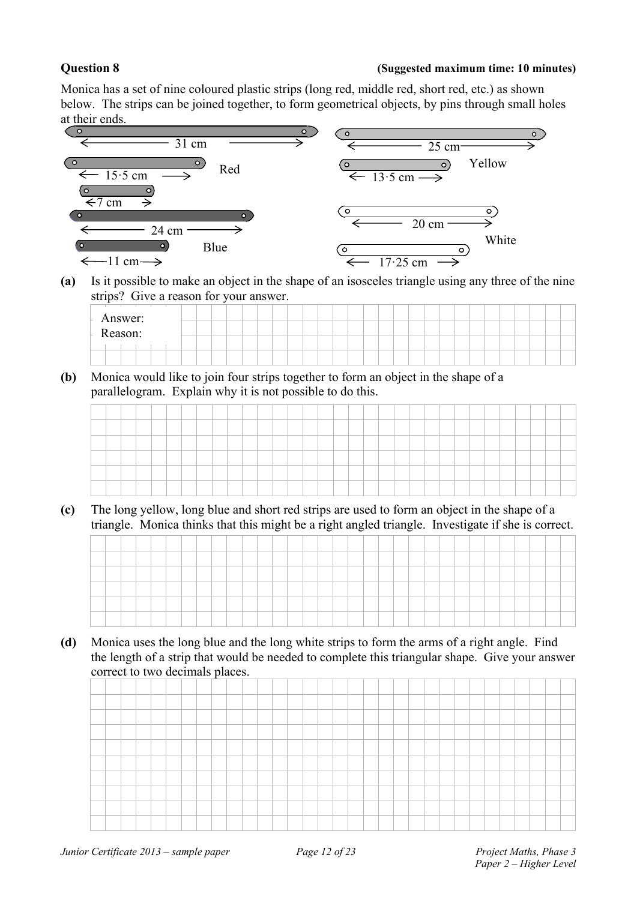### **Question 8 (Suggested maximum time: 10 minutes)**

Monica has a set of nine coloured plastic strips (long red, middle red, short red, etc.) as shown below. The strips can be joined together, to form geometrical objects, by pins through small holes at their ends.



**(a)** Is it possible to make an object in the shape of an isosceles triangle using any three of the nine strips? Give a reason for your answer.

| Answer:<br>Reason: |  |  |  |  |  |  |  |  |  |
|--------------------|--|--|--|--|--|--|--|--|--|
|                    |  |  |  |  |  |  |  |  |  |
|                    |  |  |  |  |  |  |  |  |  |

**(b)** Monica would like to join four strips together to form an object in the shape of a parallelogram. Explain why it is not possible to do this.

**(c)** The long yellow, long blue and short red strips are used to form an object in the shape of a triangle. Monica thinks that this might be a right angled triangle. Investigate if she is correct.

**(d)** Monica uses the long blue and the long white strips to form the arms of a right angle. Find the length of a strip that would be needed to complete this triangular shape. Give your answer correct to two decimals places.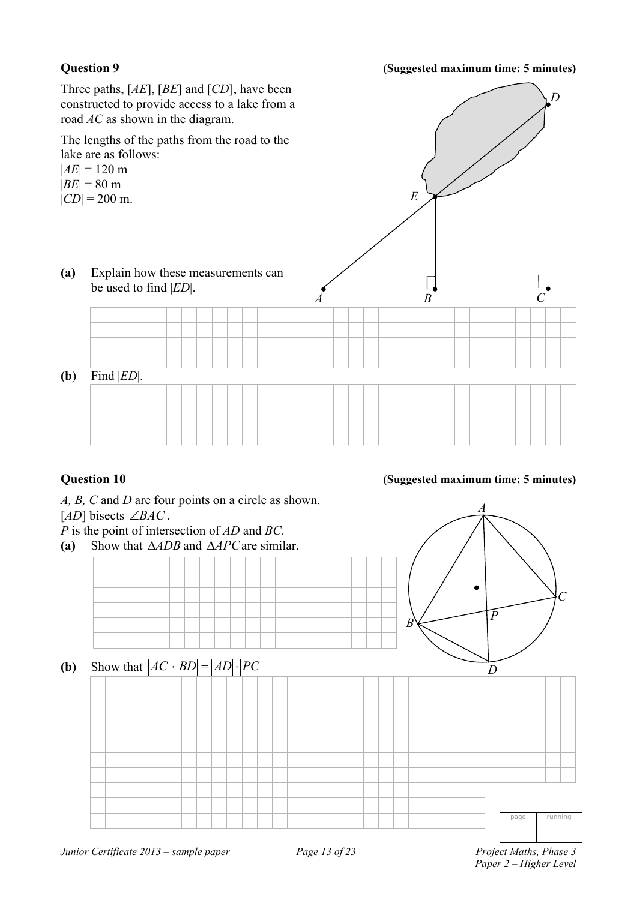### **Question 9 (Suggested maximum time: 5 minutes)**

*D*

Three paths, [*AE*], [*BE*] and [*CD*], have been constructed to provide access to a lake from a road *AC* as shown in the diagram.

The lengths of the paths from the road to the lake are as follows:

 $|AE| = 120$  m  $|BE| = 80 \text{ m}$ 

 $|CD| = 200$  m.

**(a)** Explain how these measurements can be used to find |*ED*|.

**(b**) Find |*ED*|.

### **Question 10 (Suggested maximum time: 5 minutes)**

*A B C* 

*E* 

*A, B, C* and *D* are four points on a circle as shown. [ $AD$ ] bisects  $\angle BAC$ . *P* is the point of intersection of *AD* and *BC.*  **(a)** Show that *ADB* and *APC*are similar. **(b)** Show that  $|AC|$   $|BD| = |AD|$   $|PC|$ page running *A B C D P*

*Junior Certificate 2013 – sample paper* Page 13 of 23 Project Maths, Phase 3

 *Paper 2 – Higher Level*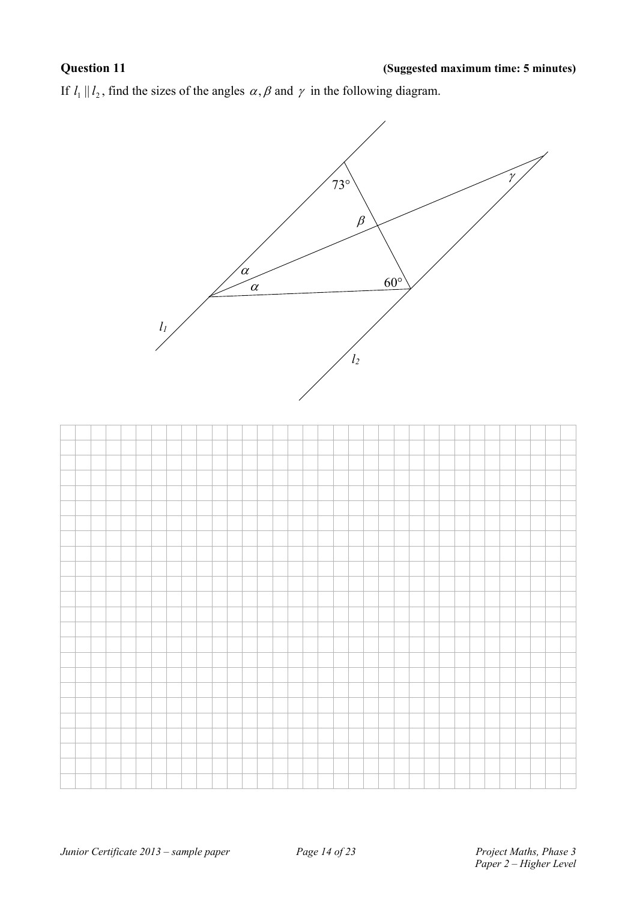If  $l_1 || l_2$ , find the sizes of the angles  $\alpha$ ,  $\beta$  and  $\gamma$  in the following diagram.

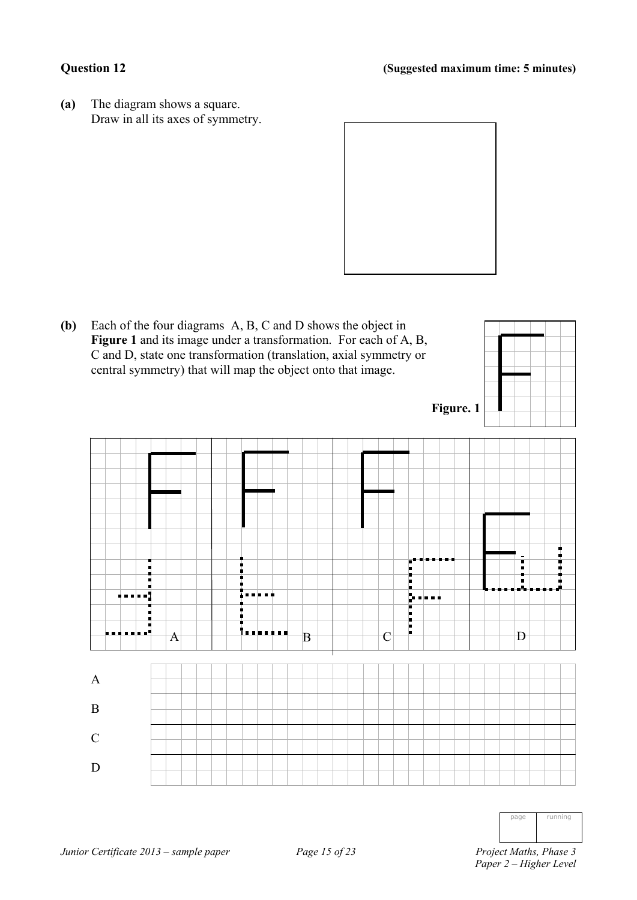**(a)** The diagram shows a square. Draw in all its axes of symmetry.





| ınir<br>ı<br>1<br>г<br>ı<br>I<br>the contract of the contract of the contract of |
|----------------------------------------------------------------------------------|
|                                                                                  |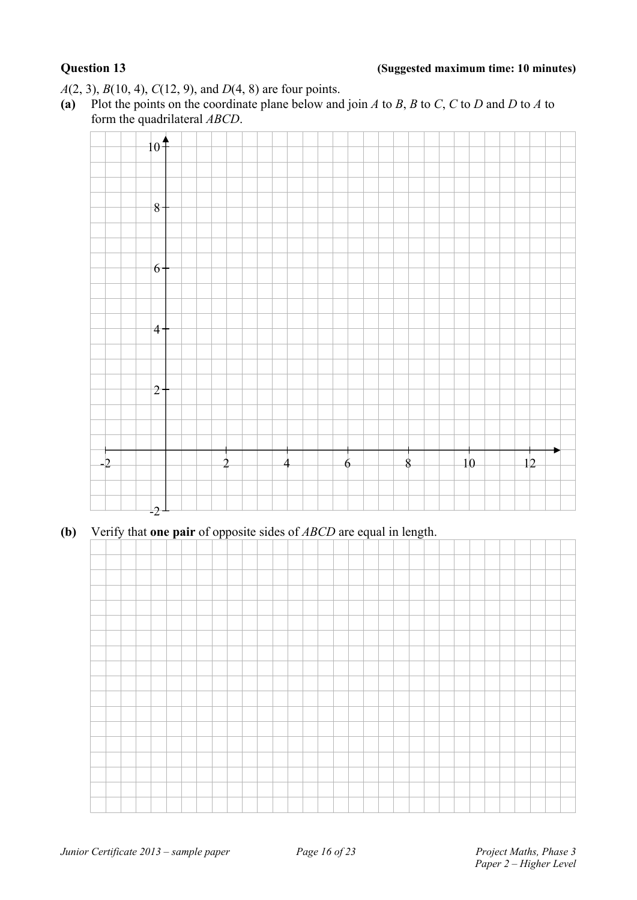*A*(2, 3), *B*(10, 4), *C*(12, 9), and *D*(4, 8) are four points.

(a) Plot the points on the coordinate plane below and join *A* to *B*, *B* to *C*, *C* to *D* and *D* to *A* to form the quadrilateral *ABCD*.



**(b)** Verify that **one pair** of opposite sides of *ABCD* are equal in length.

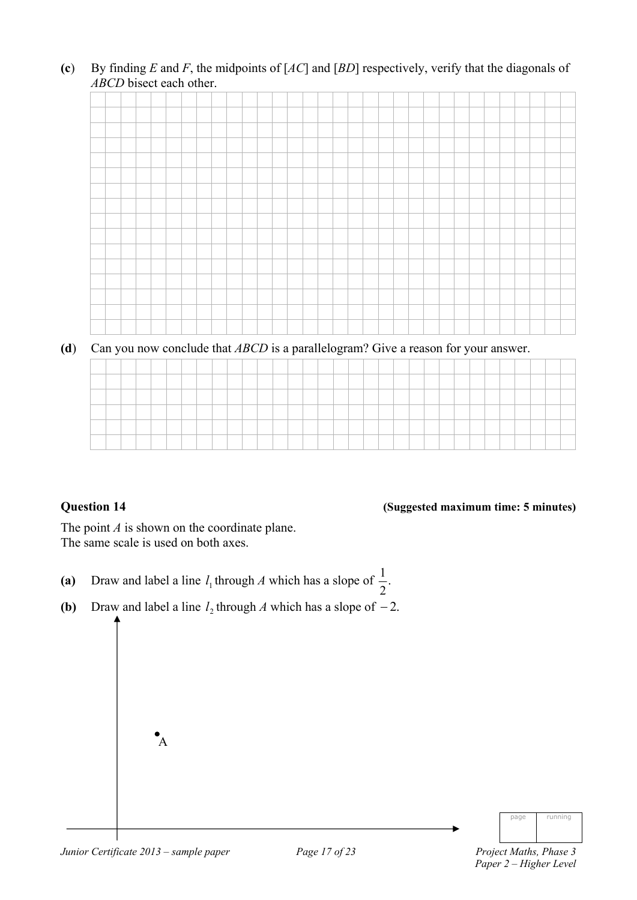**(c**) By finding *E* and *F*, the midpoints of [*AC*] and [*BD*] respectively, verify that the diagonals of *ABCD* bisect each other.



**(d**) Can you now conclude that *ABCD* is a parallelogram? Give a reason for your answer.

| _____ |  |  | the control of the control of | the control of the control of |  |  | _____ |  |  |  |  |  |  |  |  |  |  |
|-------|--|--|-------------------------------|-------------------------------|--|--|-------|--|--|--|--|--|--|--|--|--|--|
|       |  |  |                               |                               |  |  |       |  |  |  |  |  |  |  |  |  |  |

### **Question 14 (Suggested maximum time: 5 minutes)**

The point *A* is shown on the coordinate plane. The same scale is used on both axes.

- (a) Draw and label a line  $l_1$  through *A* which has a slope of  $\frac{1}{2}$ . 1
- **(b)** Draw and label a line  $l_2$  through *A* which has a slope of  $-2$ .



 $\mathbf{A}$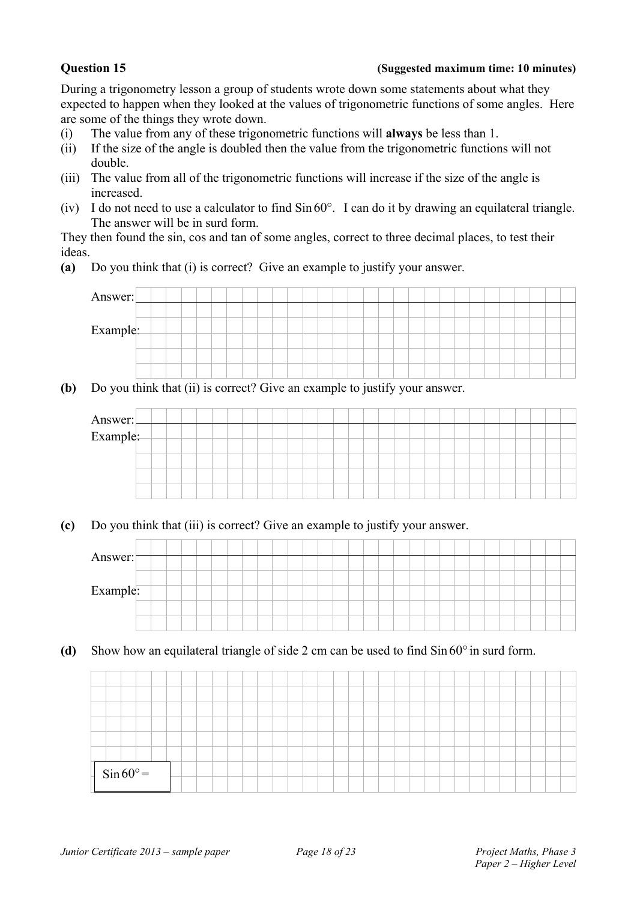### **Question 15 (Suggested maximum time: 10 minutes)**

During a trigonometry lesson a group of students wrote down some statements about what they expected to happen when they looked at the values of trigonometric functions of some angles. Here are some of the things they wrote down.

- (i) The value from any of these trigonometric functions will **always** be less than 1.
- (ii) If the size of the angle is doubled then the value from the trigonometric functions will not double.
- (iii) The value from all of the trigonometric functions will increase if the size of the angle is increased.
- (iv) I do not need to use a calculator to find  $\sin 60^\circ$ . I can do it by drawing an equilateral triangle. The answer will be in surd form.

They then found the sin, cos and tan of some angles, correct to three decimal places, to test their ideas.

**(a)** Do you think that (i) is correct? Give an example to justify your answer.



**(b)** Do you think that (ii) is correct? Give an example to justify your answer.

| Answer:<br>Example: |  |  |  |  |  |  |  |  |  |  |  |  |  |  |  |
|---------------------|--|--|--|--|--|--|--|--|--|--|--|--|--|--|--|
|                     |  |  |  |  |  |  |  |  |  |  |  |  |  |  |  |
|                     |  |  |  |  |  |  |  |  |  |  |  |  |  |  |  |
|                     |  |  |  |  |  |  |  |  |  |  |  |  |  |  |  |
|                     |  |  |  |  |  |  |  |  |  |  |  |  |  |  |  |

**(c)** Do you think that (iii) is correct? Give an example to justify your answer.



(d) Show how an equilateral triangle of side 2 cm can be used to find  $\sin 60^\circ$  in surd form.

|  | $\frac{1}{\sin 60^\circ}$ |  |  |  |  |  |  |  |  |  |  |  |  |  |  |  |
|--|---------------------------|--|--|--|--|--|--|--|--|--|--|--|--|--|--|--|
|  |                           |  |  |  |  |  |  |  |  |  |  |  |  |  |  |  |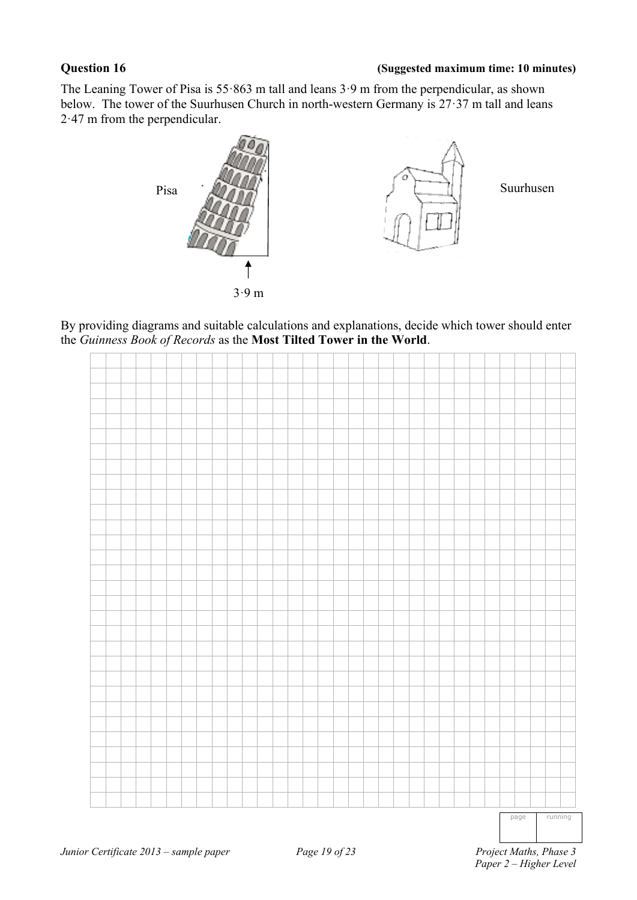### **Question 16 (Suggested maximum time: 10 minutes)**

The Leaning Tower of Pisa is 55·863 m tall and leans 3·9 m from the perpendicular, as shown below. The tower of the Suurhusen Church in north-western Germany is 27·37 m tall and leans 2·47 m from the perpendicular.



By providing diagrams and suitable calculations and explanations, decide which tower should enter the *Guinness Book of Records* as the **Most Tilted Tower in the World**.

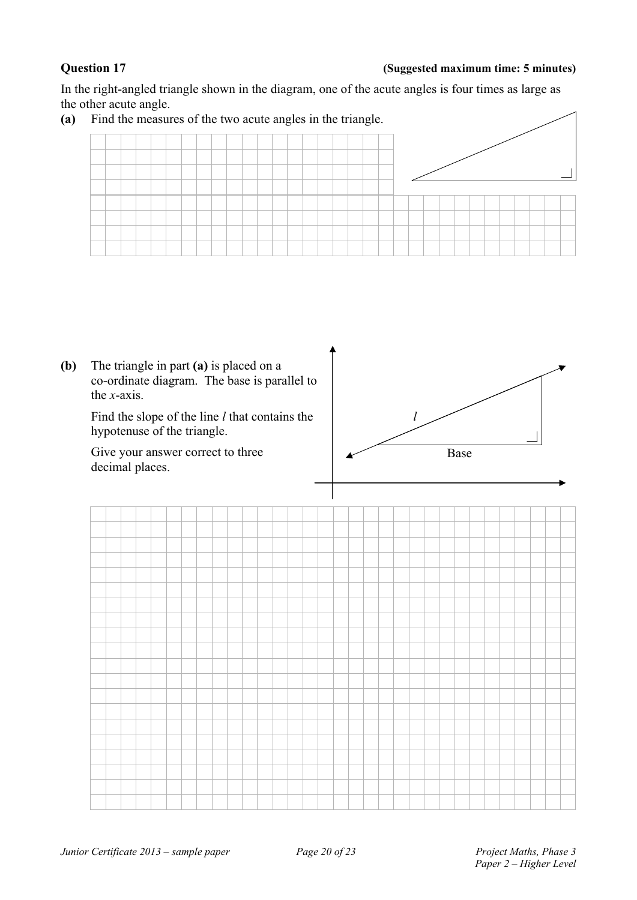### **Question 17 (Suggested maximum time: 5 minutes)**

In the right-angled triangle shown in the diagram, one of the acute angles is four times as large as the other acute angle.



**(b)** The triangle in part **(a)** is placed on a co-ordinate diagram. The base is parallel to the *x*-axis. Find the slope of the line *l* that contains the hypotenuse of the triangle. Give your answer correct to three decimal places. Base *l* 

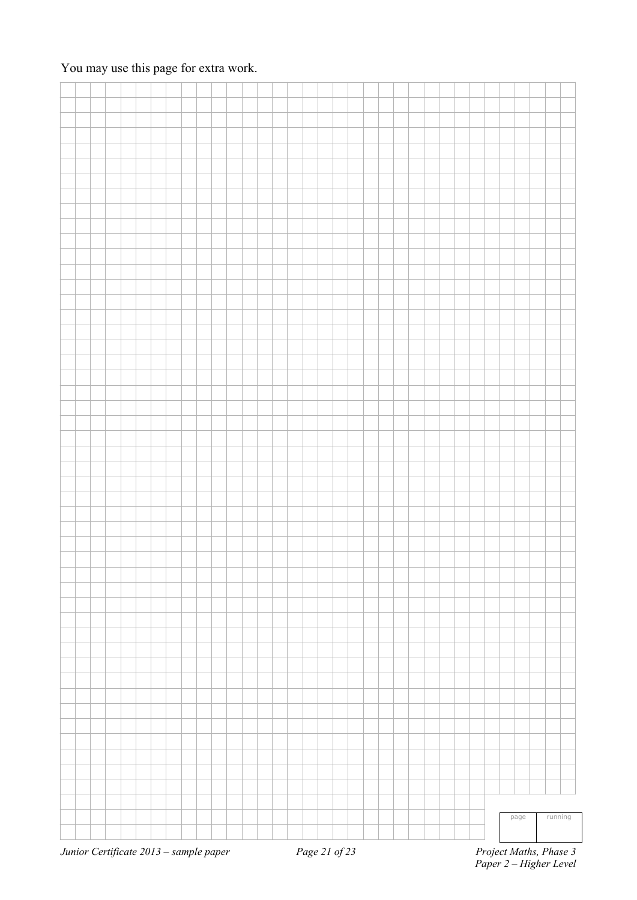### You may use this page for extra work.

|  |  |  |  |  | <i>Junior Certificate 2013 – sample paper</i> Page 21 of 23 |  |  |  |  |  |  |  |  |  | Project Maths, Phase 3 |         |  |
|--|--|--|--|--|-------------------------------------------------------------|--|--|--|--|--|--|--|--|--|------------------------|---------|--|
|  |  |  |  |  |                                                             |  |  |  |  |  |  |  |  |  | page                   | running |  |
|  |  |  |  |  |                                                             |  |  |  |  |  |  |  |  |  |                        |         |  |
|  |  |  |  |  |                                                             |  |  |  |  |  |  |  |  |  |                        |         |  |
|  |  |  |  |  |                                                             |  |  |  |  |  |  |  |  |  |                        |         |  |
|  |  |  |  |  |                                                             |  |  |  |  |  |  |  |  |  |                        |         |  |
|  |  |  |  |  |                                                             |  |  |  |  |  |  |  |  |  |                        |         |  |
|  |  |  |  |  |                                                             |  |  |  |  |  |  |  |  |  |                        |         |  |
|  |  |  |  |  |                                                             |  |  |  |  |  |  |  |  |  |                        |         |  |
|  |  |  |  |  |                                                             |  |  |  |  |  |  |  |  |  |                        |         |  |
|  |  |  |  |  |                                                             |  |  |  |  |  |  |  |  |  |                        |         |  |
|  |  |  |  |  |                                                             |  |  |  |  |  |  |  |  |  |                        |         |  |
|  |  |  |  |  |                                                             |  |  |  |  |  |  |  |  |  |                        |         |  |
|  |  |  |  |  |                                                             |  |  |  |  |  |  |  |  |  |                        |         |  |
|  |  |  |  |  |                                                             |  |  |  |  |  |  |  |  |  |                        |         |  |
|  |  |  |  |  |                                                             |  |  |  |  |  |  |  |  |  |                        |         |  |
|  |  |  |  |  |                                                             |  |  |  |  |  |  |  |  |  |                        |         |  |
|  |  |  |  |  |                                                             |  |  |  |  |  |  |  |  |  |                        |         |  |
|  |  |  |  |  |                                                             |  |  |  |  |  |  |  |  |  |                        |         |  |
|  |  |  |  |  |                                                             |  |  |  |  |  |  |  |  |  |                        |         |  |
|  |  |  |  |  |                                                             |  |  |  |  |  |  |  |  |  |                        |         |  |
|  |  |  |  |  |                                                             |  |  |  |  |  |  |  |  |  |                        |         |  |
|  |  |  |  |  |                                                             |  |  |  |  |  |  |  |  |  |                        |         |  |
|  |  |  |  |  |                                                             |  |  |  |  |  |  |  |  |  |                        |         |  |
|  |  |  |  |  |                                                             |  |  |  |  |  |  |  |  |  |                        |         |  |
|  |  |  |  |  |                                                             |  |  |  |  |  |  |  |  |  |                        |         |  |
|  |  |  |  |  |                                                             |  |  |  |  |  |  |  |  |  |                        |         |  |
|  |  |  |  |  |                                                             |  |  |  |  |  |  |  |  |  |                        |         |  |
|  |  |  |  |  |                                                             |  |  |  |  |  |  |  |  |  |                        |         |  |
|  |  |  |  |  |                                                             |  |  |  |  |  |  |  |  |  |                        |         |  |
|  |  |  |  |  |                                                             |  |  |  |  |  |  |  |  |  |                        |         |  |
|  |  |  |  |  |                                                             |  |  |  |  |  |  |  |  |  |                        |         |  |
|  |  |  |  |  |                                                             |  |  |  |  |  |  |  |  |  |                        |         |  |
|  |  |  |  |  |                                                             |  |  |  |  |  |  |  |  |  |                        |         |  |
|  |  |  |  |  |                                                             |  |  |  |  |  |  |  |  |  |                        |         |  |
|  |  |  |  |  |                                                             |  |  |  |  |  |  |  |  |  |                        |         |  |
|  |  |  |  |  |                                                             |  |  |  |  |  |  |  |  |  |                        |         |  |
|  |  |  |  |  |                                                             |  |  |  |  |  |  |  |  |  |                        |         |  |
|  |  |  |  |  |                                                             |  |  |  |  |  |  |  |  |  |                        |         |  |
|  |  |  |  |  |                                                             |  |  |  |  |  |  |  |  |  |                        |         |  |
|  |  |  |  |  |                                                             |  |  |  |  |  |  |  |  |  |                        |         |  |
|  |  |  |  |  |                                                             |  |  |  |  |  |  |  |  |  |                        |         |  |
|  |  |  |  |  |                                                             |  |  |  |  |  |  |  |  |  |                        |         |  |
|  |  |  |  |  |                                                             |  |  |  |  |  |  |  |  |  |                        |         |  |
|  |  |  |  |  |                                                             |  |  |  |  |  |  |  |  |  |                        |         |  |
|  |  |  |  |  |                                                             |  |  |  |  |  |  |  |  |  |                        |         |  |
|  |  |  |  |  |                                                             |  |  |  |  |  |  |  |  |  |                        |         |  |
|  |  |  |  |  |                                                             |  |  |  |  |  |  |  |  |  |                        |         |  |
|  |  |  |  |  |                                                             |  |  |  |  |  |  |  |  |  |                        |         |  |

*Junior Certificate 2013 – sample paper Page 21 of 23* 

 *Paper 2 – Higher Level*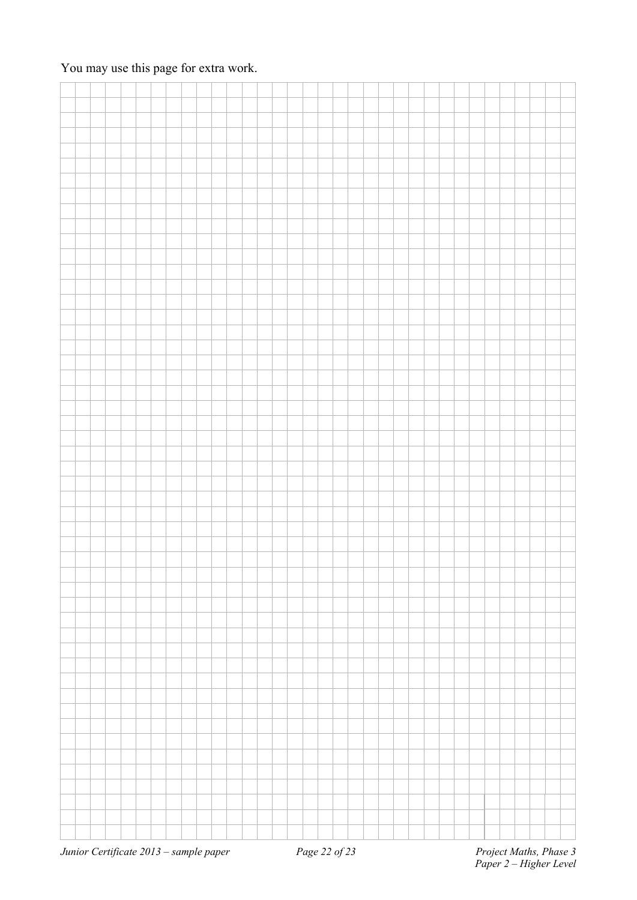### You may use this page for extra work.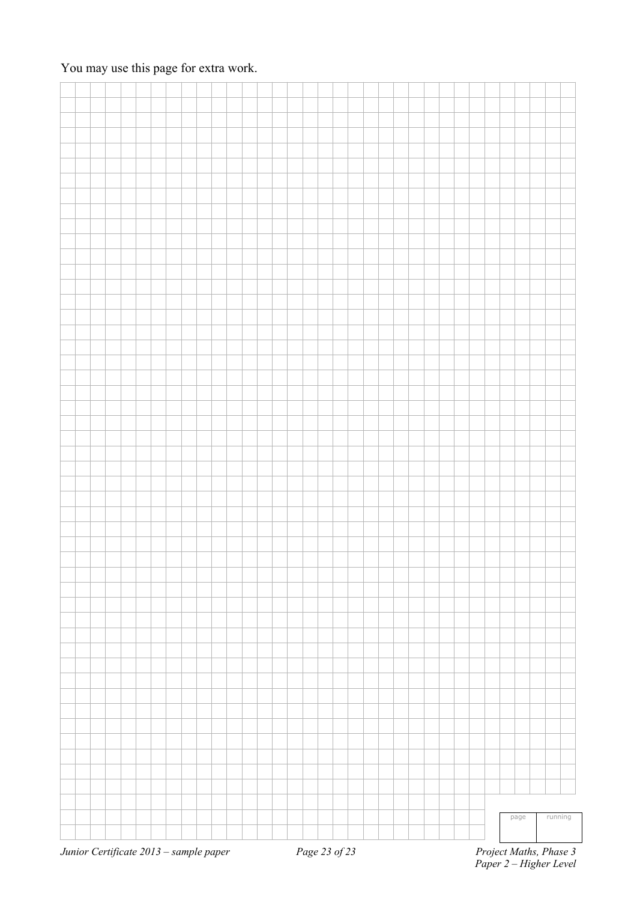### You may use this page for extra work.

|  |  |  |  |  | <i>Junior Certificate 2013 – sample paper</i> Page 23 of 23 |  |  |  |  |  |  |  |  | Project Maths, Phase 3 |         |  |
|--|--|--|--|--|-------------------------------------------------------------|--|--|--|--|--|--|--|--|------------------------|---------|--|
|  |  |  |  |  |                                                             |  |  |  |  |  |  |  |  | page                   | running |  |
|  |  |  |  |  |                                                             |  |  |  |  |  |  |  |  |                        |         |  |
|  |  |  |  |  |                                                             |  |  |  |  |  |  |  |  |                        |         |  |
|  |  |  |  |  |                                                             |  |  |  |  |  |  |  |  |                        |         |  |
|  |  |  |  |  |                                                             |  |  |  |  |  |  |  |  |                        |         |  |
|  |  |  |  |  |                                                             |  |  |  |  |  |  |  |  |                        |         |  |
|  |  |  |  |  |                                                             |  |  |  |  |  |  |  |  |                        |         |  |
|  |  |  |  |  |                                                             |  |  |  |  |  |  |  |  |                        |         |  |
|  |  |  |  |  |                                                             |  |  |  |  |  |  |  |  |                        |         |  |
|  |  |  |  |  |                                                             |  |  |  |  |  |  |  |  |                        |         |  |
|  |  |  |  |  |                                                             |  |  |  |  |  |  |  |  |                        |         |  |
|  |  |  |  |  |                                                             |  |  |  |  |  |  |  |  |                        |         |  |
|  |  |  |  |  |                                                             |  |  |  |  |  |  |  |  |                        |         |  |
|  |  |  |  |  |                                                             |  |  |  |  |  |  |  |  |                        |         |  |
|  |  |  |  |  |                                                             |  |  |  |  |  |  |  |  |                        |         |  |
|  |  |  |  |  |                                                             |  |  |  |  |  |  |  |  |                        |         |  |
|  |  |  |  |  |                                                             |  |  |  |  |  |  |  |  |                        |         |  |
|  |  |  |  |  |                                                             |  |  |  |  |  |  |  |  |                        |         |  |
|  |  |  |  |  |                                                             |  |  |  |  |  |  |  |  |                        |         |  |
|  |  |  |  |  |                                                             |  |  |  |  |  |  |  |  |                        |         |  |
|  |  |  |  |  |                                                             |  |  |  |  |  |  |  |  |                        |         |  |
|  |  |  |  |  |                                                             |  |  |  |  |  |  |  |  |                        |         |  |
|  |  |  |  |  |                                                             |  |  |  |  |  |  |  |  |                        |         |  |
|  |  |  |  |  |                                                             |  |  |  |  |  |  |  |  |                        |         |  |
|  |  |  |  |  |                                                             |  |  |  |  |  |  |  |  |                        |         |  |
|  |  |  |  |  |                                                             |  |  |  |  |  |  |  |  |                        |         |  |
|  |  |  |  |  |                                                             |  |  |  |  |  |  |  |  |                        |         |  |
|  |  |  |  |  |                                                             |  |  |  |  |  |  |  |  |                        |         |  |
|  |  |  |  |  |                                                             |  |  |  |  |  |  |  |  |                        |         |  |
|  |  |  |  |  |                                                             |  |  |  |  |  |  |  |  |                        |         |  |
|  |  |  |  |  |                                                             |  |  |  |  |  |  |  |  |                        |         |  |
|  |  |  |  |  |                                                             |  |  |  |  |  |  |  |  |                        |         |  |
|  |  |  |  |  |                                                             |  |  |  |  |  |  |  |  |                        |         |  |
|  |  |  |  |  |                                                             |  |  |  |  |  |  |  |  |                        |         |  |
|  |  |  |  |  |                                                             |  |  |  |  |  |  |  |  |                        |         |  |
|  |  |  |  |  |                                                             |  |  |  |  |  |  |  |  |                        |         |  |
|  |  |  |  |  |                                                             |  |  |  |  |  |  |  |  |                        |         |  |
|  |  |  |  |  |                                                             |  |  |  |  |  |  |  |  |                        |         |  |
|  |  |  |  |  |                                                             |  |  |  |  |  |  |  |  |                        |         |  |
|  |  |  |  |  |                                                             |  |  |  |  |  |  |  |  |                        |         |  |
|  |  |  |  |  |                                                             |  |  |  |  |  |  |  |  |                        |         |  |
|  |  |  |  |  |                                                             |  |  |  |  |  |  |  |  |                        |         |  |
|  |  |  |  |  |                                                             |  |  |  |  |  |  |  |  |                        |         |  |
|  |  |  |  |  |                                                             |  |  |  |  |  |  |  |  |                        |         |  |
|  |  |  |  |  |                                                             |  |  |  |  |  |  |  |  |                        |         |  |
|  |  |  |  |  |                                                             |  |  |  |  |  |  |  |  |                        |         |  |
|  |  |  |  |  |                                                             |  |  |  |  |  |  |  |  |                        |         |  |
|  |  |  |  |  |                                                             |  |  |  |  |  |  |  |  |                        |         |  |
|  |  |  |  |  |                                                             |  |  |  |  |  |  |  |  |                        |         |  |
|  |  |  |  |  |                                                             |  |  |  |  |  |  |  |  |                        |         |  |

*Junior Certificate 2013 – sample paper Page 23 of 23* 

 *Paper 2 – Higher Level*